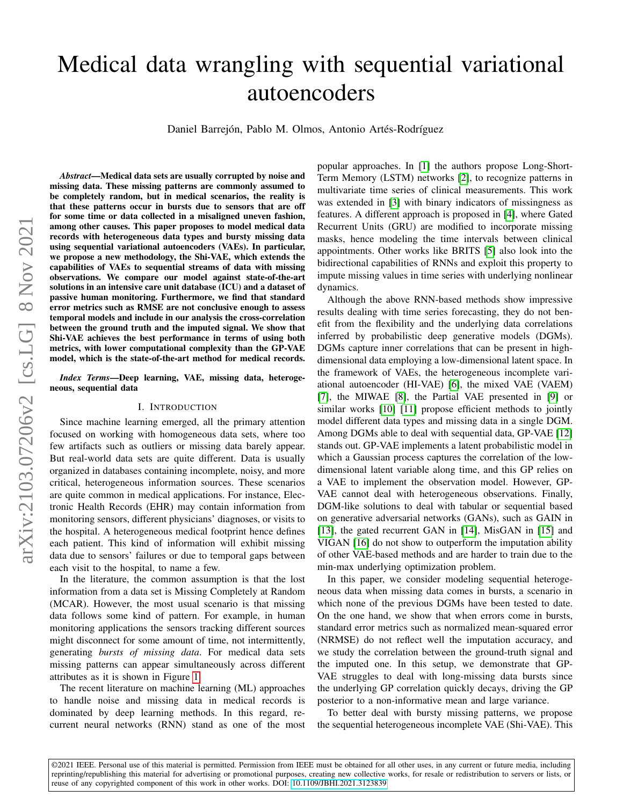# Medical data wrangling with sequential variational autoencoders

Daniel Barrejón, Pablo M. Olmos, Antonio Artés-Rodríguez

*Abstract*—Medical data sets are usually corrupted by noise and missing data. These missing patterns are commonly assumed to be completely random, but in medical scenarios, the reality is that these patterns occur in bursts due to sensors that are off for some time or data collected in a misaligned uneven fashion, among other causes. This paper proposes to model medical data records with heterogeneous data types and bursty missing data using sequential variational autoencoders (VAEs). In particular, we propose a new methodology, the Shi-VAE, which extends the capabilities of VAEs to sequential streams of data with missing observations. We compare our model against state-of-the-art solutions in an intensive care unit database (ICU) and a dataset of passive human monitoring. Furthermore, we find that standard error metrics such as RMSE are not conclusive enough to assess temporal models and include in our analysis the cross-correlation between the ground truth and the imputed signal. We show that Shi-VAE achieves the best performance in terms of using both metrics, with lower computational complexity than the GP-VAE model, which is the state-of-the-art method for medical records.

*Index Terms*—Deep learning, VAE, missing data, heterogeneous, sequential data

## I. INTRODUCTION

Since machine learning emerged, all the primary attention focused on working with homogeneous data sets, where too few artifacts such as outliers or missing data barely appear. But real-world data sets are quite different. Data is usually organized in databases containing incomplete, noisy, and more critical, heterogeneous information sources. These scenarios are quite common in medical applications. For instance, Electronic Health Records (EHR) may contain information from monitoring sensors, different physicians' diagnoses, or visits to the hospital. A heterogeneous medical footprint hence defines each patient. This kind of information will exhibit missing data due to sensors' failures or due to temporal gaps between each visit to the hospital, to name a few.

In the literature, the common assumption is that the lost information from a data set is Missing Completely at Random (MCAR). However, the most usual scenario is that missing data follows some kind of pattern. For example, in human monitoring applications the sensors tracking different sources might disconnect for some amount of time, not intermittently, generating *bursts of missing data*. For medical data sets missing patterns can appear simultaneously across different attributes as it is shown in Figure [1.](#page-1-0)

The recent literature on machine learning (ML) approaches to handle noise and missing data in medical records is dominated by deep learning methods. In this regard, recurrent neural networks (RNN) stand as one of the most

popular approaches. In [\[1\]](#page-8-0) the authors propose Long-Short-Term Memory (LSTM) networks [\[2\]](#page-8-1), to recognize patterns in multivariate time series of clinical measurements. This work was extended in [\[3\]](#page-8-2) with binary indicators of missingness as features. A different approach is proposed in [\[4\]](#page-8-3), where Gated Recurrent Units (GRU) are modified to incorporate missing masks, hence modeling the time intervals between clinical appointments. Other works like BRITS [\[5\]](#page-8-4) also look into the bidirectional capabilities of RNNs and exploit this property to impute missing values in time series with underlying nonlinear dynamics.

Although the above RNN-based methods show impressive results dealing with time series forecasting, they do not benefit from the flexibility and the underlying data correlations inferred by probabilistic deep generative models (DGMs). DGMs capture inner correlations that can be present in highdimensional data employing a low-dimensional latent space. In the framework of VAEs, the heterogeneous incomplete variational autoencoder (HI-VAE) [\[6\]](#page-8-5), the mixed VAE (VAEM) [\[7\]](#page-8-6), the MIWAE [\[8\]](#page-8-7), the Partial VAE presented in [\[9\]](#page-8-8) or similar works [\[10\]](#page-8-9) [\[11\]](#page-8-10) propose efficient methods to jointly model different data types and missing data in a single DGM. Among DGMs able to deal with sequential data, GP-VAE [\[12\]](#page-8-11) stands out. GP-VAE implements a latent probabilistic model in which a Gaussian process captures the correlation of the lowdimensional latent variable along time, and this GP relies on a VAE to implement the observation model. However, GP-VAE cannot deal with heterogeneous observations. Finally, DGM-like solutions to deal with tabular or sequential based on generative adversarial networks (GANs), such as GAIN in [\[13\]](#page-8-12), the gated recurrent GAN in [\[14\]](#page-8-13), MisGAN in [\[15\]](#page-8-14) and VIGAN [\[16\]](#page-8-15) do not show to outperform the imputation ability of other VAE-based methods and are harder to train due to the min-max underlying optimization problem.

In this paper, we consider modeling sequential heterogeneous data when missing data comes in bursts, a scenario in which none of the previous DGMs have been tested to date. On the one hand, we show that when errors come in bursts, standard error metrics such as normalized mean-squared error (NRMSE) do not reflect well the imputation accuracy, and we study the correlation between the ground-truth signal and the imputed one. In this setup, we demonstrate that GP-VAE struggles to deal with long-missing data bursts since the underlying GP correlation quickly decays, driving the GP posterior to a non-informative mean and large variance.

To better deal with bursty missing patterns, we propose the sequential heterogeneous incomplete VAE (Shi-VAE). This

©2021 IEEE. Personal use of this material is permitted. Permission from IEEE must be obtained for all other uses, in any current or future media, including reprinting/republishing this material for advertising or promotional purposes, creating new collective works, for resale or redistribution to servers or lists, or reuse of any copyrighted component of this work in other works. DOI: [10.1109/JBHI.2021.3123839](https://doi.org/10.1109/JBHI.2021.3123839)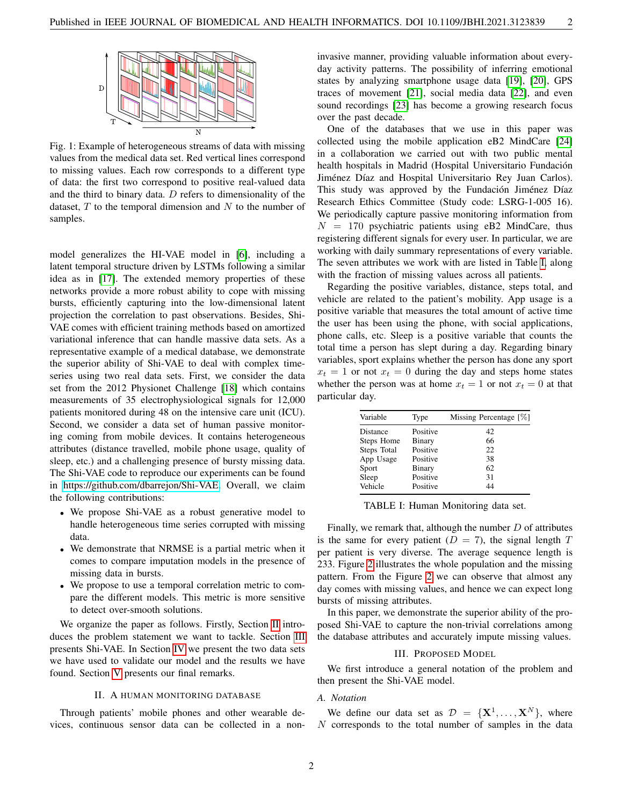<span id="page-1-0"></span>

Fig. 1: Example of heterogeneous streams of data with missing values from the medical data set. Red vertical lines correspond to missing values. Each row corresponds to a different type of data: the first two correspond to positive real-valued data and the third to binary data.  $D$  refers to dimensionality of the dataset,  $T$  to the temporal dimension and  $N$  to the number of samples.

model generalizes the HI-VAE model in [\[6\]](#page-8-5), including a latent temporal structure driven by LSTMs following a similar idea as in [\[17\]](#page-8-16). The extended memory properties of these networks provide a more robust ability to cope with missing bursts, efficiently capturing into the low-dimensional latent projection the correlation to past observations. Besides, Shi-VAE comes with efficient training methods based on amortized variational inference that can handle massive data sets. As a representative example of a medical database, we demonstrate the superior ability of Shi-VAE to deal with complex timeseries using two real data sets. First, we consider the data set from the 2012 Physionet Challenge [\[18\]](#page-8-17) which contains measurements of 35 electrophysiological signals for 12,000 patients monitored during 48 on the intensive care unit (ICU). Second, we consider a data set of human passive monitoring coming from mobile devices. It contains heterogeneous attributes (distance travelled, mobile phone usage, quality of sleep, etc.) and a challenging presence of bursty missing data. The Shi-VAE code to reproduce our experiments can be found in [https://github.com/dbarrejon/Shi-VAE.](https://github.com/dbarrejon/Shi-VAE) Overall, we claim the following contributions:

- We propose Shi-VAE as a robust generative model to handle heterogeneous time series corrupted with missing data.
- We demonstrate that NRMSE is a partial metric when it comes to compare imputation models in the presence of missing data in bursts.
- We propose to use a temporal correlation metric to compare the different models. This metric is more sensitive to detect over-smooth solutions.

We organize the paper as follows. Firstly, Section [II](#page-1-1) introduces the problem statement we want to tackle. Section [III](#page-1-2) presents Shi-VAE. In Section [IV](#page-4-0) we present the two data sets we have used to validate our model and the results we have found. Section [V](#page-7-0) presents our final remarks.

## II. A HUMAN MONITORING DATABASE

<span id="page-1-1"></span>Through patients' mobile phones and other wearable devices, continuous sensor data can be collected in a noninvasive manner, providing valuable information about everyday activity patterns. The possibility of inferring emotional states by analyzing smartphone usage data [\[19\]](#page-8-18), [\[20\]](#page-8-19), GPS traces of movement [\[21\]](#page-8-20), social media data [\[22\]](#page-8-21), and even sound recordings [\[23\]](#page-8-22) has become a growing research focus over the past decade.

One of the databases that we use in this paper was collected using the mobile application eB2 MindCare [\[24\]](#page-8-23) in a collaboration we carried out with two public mental health hospitals in Madrid (Hospital Universitario Fundación Jiménez Díaz and Hospital Universitario Rey Juan Carlos). This study was approved by the Fundación Jiménez Díaz Research Ethics Committee (Study code: LSRG-1-005 16). We periodically capture passive monitoring information from  $N = 170$  psychiatric patients using eB2 MindCare, thus registering different signals for every user. In particular, we are working with daily summary representations of every variable. The seven attributes we work with are listed in Table [I,](#page-1-3) along with the fraction of missing values across all patients.

Regarding the positive variables, distance, steps total, and vehicle are related to the patient's mobility. App usage is a positive variable that measures the total amount of active time the user has been using the phone, with social applications, phone calls, etc. Sleep is a positive variable that counts the total time a person has slept during a day. Regarding binary variables, sport explains whether the person has done any sport  $x_t = 1$  or not  $x_t = 0$  during the day and steps home states whether the person was at home  $x_t = 1$  or not  $x_t = 0$  at that particular day.

<span id="page-1-3"></span>

| Variable    | Type     | Missing Percentage [%] |
|-------------|----------|------------------------|
| Distance    | Positive | 42                     |
| Steps Home  | Binary   | 66                     |
| Steps Total | Positive | 22                     |
| App Usage   | Positive | 38                     |
| Sport       | Binary   | 62                     |
| Sleep       | Positive | 31                     |
| Vehicle     | Positive | 44                     |
|             |          |                        |

TABLE I: Human Monitoring data set.

Finally, we remark that, although the number  $D$  of attributes is the same for every patient  $(D = 7)$ , the signal length T per patient is very diverse. The average sequence length is 233. Figure [2](#page-2-0) illustrates the whole population and the missing pattern. From the Figure [2](#page-2-0) we can observe that almost any day comes with missing values, and hence we can expect long bursts of missing attributes.

In this paper, we demonstrate the superior ability of the proposed Shi-VAE to capture the non-trivial correlations among the database attributes and accurately impute missing values.

## III. PROPOSED MODEL

<span id="page-1-2"></span>We first introduce a general notation of the problem and then present the Shi-VAE model.

#### *A. Notation*

We define our data set as  $\mathcal{D} = \{X^1, \dots, X^N\}$ , where N corresponds to the total number of samples in the data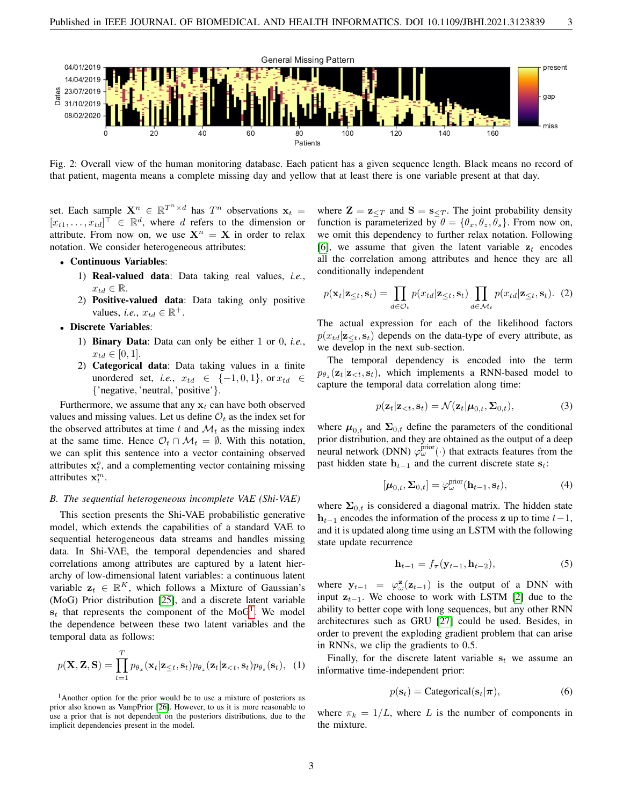<span id="page-2-0"></span>

Fig. 2: Overall view of the human monitoring database. Each patient has a given sequence length. Black means no record of that patient, magenta means a complete missing day and yellow that at least there is one variable present at that day.

set. Each sample  $X^n \in \mathbb{R}^{T^n \times d}$  has  $T^n$  observations  $x_t =$  $[x_{t1}, \ldots, x_{td}]^{\top} \in \mathbb{R}^d$ , where d refers to the dimension or attribute. From now on, we use  $X^n = X$  in order to relax notation. We consider heterogeneous attributes:

- Continuous Variables:
	- 1) Real-valued data: Data taking real values, *i.e.*,  $x_{td} \in \mathbb{R}$ .
	- 2) Positive-valued data: Data taking only positive values, *i.e.*,  $x_{td} \in \mathbb{R}^+$ .
- Discrete Variables:
	- 1) Binary Data: Data can only be either 1 or 0, *i.e.*,  $x_{td} \in [0, 1].$
	- 2) Categorical data: Data taking values in a finite unordered set, *i.e.*,  $x_{td} \in \{-1,0,1\}$ , or  $x_{td} \in$ {'negative, 'neutral, 'positive'}.

Furthermore, we assume that any  $x_t$  can have both observed values and missing values. Let us define  $\mathcal{O}_t$  as the index set for the observed attributes at time t and  $\mathcal{M}_t$  as the missing index at the same time. Hence  $\mathcal{O}_t \cap \mathcal{M}_t = \emptyset$ . With this notation, we can split this sentence into a vector containing observed attributes  $x_t^o$ , and a complementing vector containing missing attributes  $\mathbf{x}_t^m$ .

#### *B. The sequential heterogeneous incomplete VAE (Shi-VAE)*

This section presents the Shi-VAE probabilistic generative model, which extends the capabilities of a standard VAE to sequential heterogeneous data streams and handles missing data. In Shi-VAE, the temporal dependencies and shared correlations among attributes are captured by a latent hierarchy of low-dimensional latent variables: a continuous latent variable  $z_t \in \mathbb{R}^K$ , which follows a Mixture of Gaussian's (MoG) Prior distribution [\[25\]](#page-8-24), and a discrete latent variable  $s_t$  that represents the component of the MoG<sup>[1](#page-2-1)</sup>. We model the dependence between these two latent variables and the temporal data as follows:

<span id="page-2-2"></span>
$$
p(\mathbf{X}, \mathbf{Z}, \mathbf{S}) = \prod_{t=1}^{T} p_{\theta_x}(\mathbf{x}_t | \mathbf{z}_{\leq t}, \mathbf{s}_t) p_{\theta_z}(\mathbf{z}_t | \mathbf{z}_{< t}, \mathbf{s}_t) p_{\theta_s}(\mathbf{s}_t), (1)
$$

<span id="page-2-1"></span><sup>1</sup>Another option for the prior would be to use a mixture of posteriors as prior also known as VampPrior [\[26\]](#page-8-25). However, to us it is more reasonable to use a prior that is not dependent on the posteriors distributions, due to the implicit dependencies present in the model.

where  $\mathbf{Z} = \mathbf{z}_{\leq T}$  and  $\mathbf{S} = \mathbf{s}_{\leq T}$ . The joint probability density function is parameterized by  $\theta = {\theta_x, \theta_z, \theta_s}$ . From now on, we omit this dependency to further relax notation. Following [\[6\]](#page-8-5), we assume that given the latent variable  $z_t$  encodes all the correlation among attributes and hence they are all conditionally independent

$$
p(\mathbf{x}_t|\mathbf{z}_{\leq t}, \mathbf{s}_t) = \prod_{d \in \mathcal{O}_t} p(x_{td}|\mathbf{z}_{\leq t}, \mathbf{s}_t) \prod_{d \in \mathcal{M}_t} p(x_{td}|\mathbf{z}_{\leq t}, \mathbf{s}_t). \tag{2}
$$

The actual expression for each of the likelihood factors  $p(x_{td}|\mathbf{z}_{\leq t}, \mathbf{s}_t)$  depends on the data-type of every attribute, as we develop in the next sub-section.

The temporal dependency is encoded into the term  $p_{\theta_z}(\mathbf{z}_t|\mathbf{z}_{, which implements a RNN-based model to$ capture the temporal data correlation along time:

<span id="page-2-3"></span>
$$
p(\mathbf{z}_t|\mathbf{z}_{\n(3)
$$

where  $\mu_{0,t}$  and  $\Sigma_{0,t}$  define the parameters of the conditional prior distribution, and they are obtained as the output of a deep neural network (DNN)  $\varphi_{\omega}^{\text{prior}}(\cdot)$  that extracts features from the past hidden state  $h_{t-1}$  and the current discrete state  $s_t$ :

$$
[\boldsymbol{\mu}_{0,t}, \boldsymbol{\Sigma}_{0,t}] = \varphi_{\omega}^{\text{prior}}(\mathbf{h}_{t-1}, \mathbf{s}_t), \tag{4}
$$

where  $\Sigma_{0,t}$  is considered a diagonal matrix. The hidden state  $h_{t-1}$  encodes the information of the process z up to time  $t-1$ , and it is updated along time using an LSTM with the following state update recurrence

$$
\mathbf{h}_{t-1} = f_{\boldsymbol{\tau}}(\mathbf{y}_{t-1}, \mathbf{h}_{t-2}),\tag{5}
$$

where  $y_{t-1} = \varphi_{\omega}^{\mathbf{z}}(\mathbf{z}_{t-1})$  is the output of a DNN with input  $z_{t-1}$ . We choose to work with LSTM [\[2\]](#page-8-1) due to the ability to better cope with long sequences, but any other RNN architectures such as GRU [\[27\]](#page-8-26) could be used. Besides, in order to prevent the exploding gradient problem that can arise in RNNs, we clip the gradients to 0.5.

Finally, for the discrete latent variable  $s_t$  we assume an informative time-independent prior:

$$
p(\mathbf{s}_t) = \text{Categorical}(\mathbf{s}_t | \boldsymbol{\pi}), \tag{6}
$$

where  $\pi_k = 1/L$ , where L is the number of components in the mixture.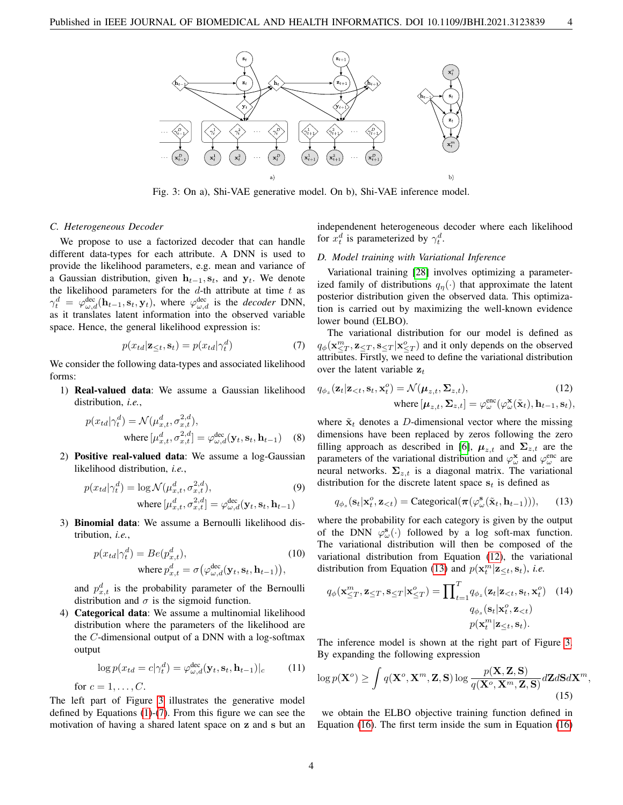<span id="page-3-0"></span>

Fig. 3: On a), Shi-VAE generative model. On b), Shi-VAE inference model.

#### *C. Heterogeneous Decoder*

We propose to use a factorized decoder that can handle different data-types for each attribute. A DNN is used to provide the likelihood parameters, e.g. mean and variance of a Gaussian distribution, given  $h_{t-1}, s_t$ , and  $y_t$ . We denote the likelihood parameters for the  $d$ -th attribute at time  $t$  as  $\gamma_t^d = \varphi_{\omega,d}^{\text{dec}}(\mathbf{h}_{t-1}, \mathbf{s}_t, \mathbf{y}_t)$ , where  $\varphi_{\omega,d}^{\text{dec}}$  is the *decoder* DNN, as it translates latent information into the observed variable space. Hence, the general likelihood expression is:

$$
p(x_{td}|\mathbf{z}_{\leq t}, \mathbf{s}_t) = p(x_{td}|\gamma_t^d)
$$
\n(7)

We consider the following data-types and associated likelihood forms:

1) Real-valued data: We assume a Gaussian likelihood distribution, *i.e.*,

$$
p(x_{td}|\gamma_t^d) = \mathcal{N}(\mu_{x,t}^d, \sigma_{x,t}^{2,d}),
$$
  
where  $[\mu_{x,t}^d, \sigma_{x,t}^{2,d}] = \varphi_{\omega,d}^{\text{dec}}(\mathbf{y}_t, \mathbf{s}_t, \mathbf{h}_{t-1})$  (8)

2) Positive real-valued data: We assume a log-Gaussian likelihood distribution, *i.e.*,

$$
p(x_{td}|\gamma_t^d) = \log \mathcal{N}(\mu_{x,t}^d, \sigma_{x,t}^{2,d}),
$$
\n
$$
\text{where } [\mu_{x,t}^d, \sigma_{x,t}^{2,d}] = \varphi_{\omega,d}^{\text{dec}}(\mathbf{y}_t, \mathbf{s}_t, \mathbf{h}_{t-1})
$$
\n(9)

3) Binomial data: We assume a Bernoulli likelihood distribution, *i.e.*,

$$
p(x_{td}|\gamma_t^d) = Be(p_{x,t}^d),
$$
  
where  $p_{x,t}^d = \sigma(\varphi_{\omega,d}^{\text{dec}}(\mathbf{y}_t, \mathbf{s}_t, \mathbf{h}_{t-1})),$  (10)

and  $p_{x,t}^d$  is the probability parameter of the Bernoulli distribution and  $\sigma$  is the sigmoid function.

4) Categorical data: We assume a multinomial likelihood distribution where the parameters of the likelihood are the  $C$ -dimensional output of a DNN with a log-softmax output

$$
\log p(x_{td} = c | \gamma_t^d) = \varphi_{\omega,d}^{\text{dec}}(\mathbf{y}_t, \mathbf{s}_t, \mathbf{h}_{t-1})|_c \tag{11}
$$

for  $c = 1, \ldots, C$ .

The left part of Figure [3](#page-3-0) illustrates the generative model defined by Equations [\(1\)](#page-2-2)-[\(7\)](#page-3-1). From this figure we can see the motivation of having a shared latent space on z and s but an independenent heterogeneous decoder where each likelihood for  $x_t^d$  is parameterized by  $\gamma_t^d$ .

## *D. Model training with Variational Inference*

Variational training [\[28\]](#page-8-27) involves optimizing a parameterized family of distributions  $q_{\eta}(\cdot)$  that approximate the latent posterior distribution given the observed data. This optimization is carried out by maximizing the well-known evidence lower bound (ELBO).

<span id="page-3-1"></span>The variational distribution for our model is defined as  $q_{\phi}(\mathbf{x}_{\leq T}^m, \mathbf{z}_{\leq T}, \mathbf{s}_{\leq T} | \mathbf{x}_{\leq T}^o)$  and it only depends on the observed attributes. Firstly, we need to define the variational distribution over the latent variable  $z_t$ 

<span id="page-3-2"></span>
$$
q_{\phi_z}(\mathbf{z}_t|\mathbf{z}_{  
where  $[\boldsymbol{\mu}_{z,t}, \boldsymbol{\Sigma}_{z,t}] = \varphi_{\omega}^{\text{enc}}(\varphi_{\omega}^{\mathbf{x}}(\tilde{\mathbf{x}}_t), \mathbf{h}_{t-1}, \mathbf{s}_t),$
$$

where  $\tilde{\mathbf{x}}_t$  denotes a D-dimensional vector where the missing dimensions have been replaced by zeros following the zero filling approach as described in [\[6\]](#page-8-5),  $\mu_{z,t}$  and  $\Sigma_{z,t}$  are the parameters of the variational distribution and  $\varphi^{\mathbf{x}}_{\omega}$  and  $\varphi^{\text{enc}}_{\omega}$  are neural networks.  $\Sigma_{z,t}$  is a diagonal matrix. The variational distribution for the discrete latent space  $s_t$  is defined as

<span id="page-3-3"></span>
$$
q_{\phi_s}(\mathbf{s}_t|\mathbf{x}_t^o,\mathbf{z}_{
$$

where the probability for each category is given by the output of the DNN  $\varphi_{\omega}^{\mathbf{s}}(\cdot)$  followed by a log soft-max function. The variational distribution will then be composed of the variational distribution from Equation [\(12\)](#page-3-2), the variational distribution from Equation [\(13\)](#page-3-3) and  $p(\mathbf{x}_t^m | \mathbf{z}_{\leq t}, \mathbf{s}_t)$ , *i.e.* 

$$
q_{\phi}(\mathbf{x}_{\leq T}^{m}, \mathbf{z}_{\leq T}, \mathbf{s}_{\leq T} | \mathbf{x}_{\leq T}^{o}) = \prod_{t=1}^{T} q_{\phi_{z}}(\mathbf{z}_{t} | \mathbf{z}_{
$$
q_{\phi_{s}}(\mathbf{s}_{t} | \mathbf{x}_{t}^{o}, \mathbf{z}_{
$$
p(\mathbf{x}_{t}^{m} | \mathbf{z}_{\leq t}, \mathbf{s}_{t}).
$$
$$
$$

The inference model is shown at the right part of Figure [3.](#page-3-0) By expanding the following expression

$$
\log p(\mathbf{X}^o) \ge \int q(\mathbf{X}^o, \mathbf{X}^m, \mathbf{Z}, \mathbf{S}) \log \frac{p(\mathbf{X}, \mathbf{Z}, \mathbf{S})}{q(\mathbf{X}^o, \mathbf{X}^m, \mathbf{Z}, \mathbf{S})} d\mathbf{Z} d\mathbf{S} d\mathbf{X}^m,
$$
\n(15)

we obtain the ELBO objective training function defined in Equation [\(16\)](#page-4-1). The first term inside the sum in Equation [\(16\)](#page-4-1)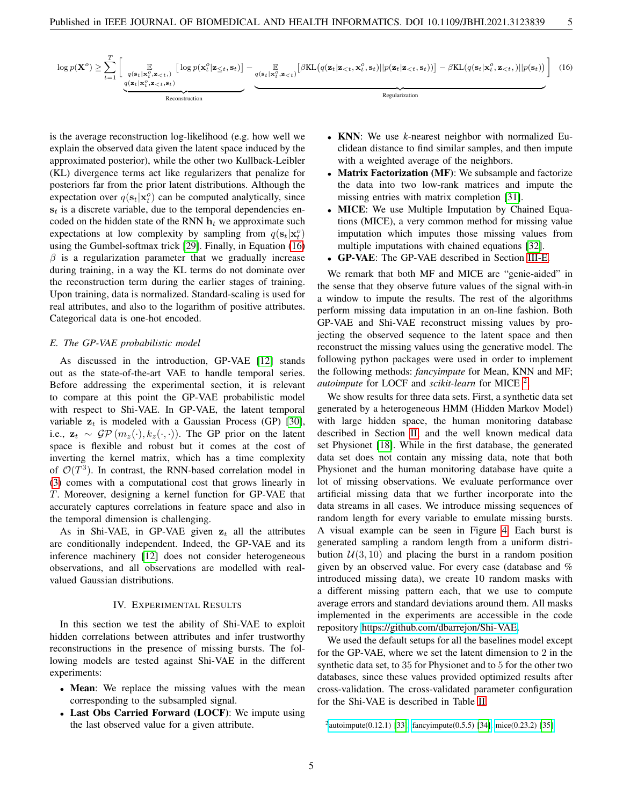$$
\log p(\mathbf{X}^o) \geq \sum_{t=1}^T \left[ \underbrace{\mathbb{E}_{q(\mathbf{s}_t|\mathbf{x}_t^o,\mathbf{z}_{(16)
$$

is the average reconstruction log-likelihood (e.g. how well we explain the observed data given the latent space induced by the approximated posterior), while the other two Kullback-Leibler (KL) divergence terms act like regularizers that penalize for posteriors far from the prior latent distributions. Although the expectation over  $q(\mathbf{s}_t|\mathbf{x}_t^o)$  can be computed analytically, since  $s_t$  is a discrete variable, due to the temporal dependencies encoded on the hidden state of the RNN  $h_t$  we approximate such expectations at low complexity by sampling from  $q(\mathbf{s}_t|\mathbf{x}_t^o)$ using the Gumbel-softmax trick [\[29\]](#page-8-28). Finally, in Equation [\(16\)](#page-4-1)  $\beta$  is a regularization parameter that we gradually increase during training, in a way the KL terms do not dominate over the reconstruction term during the earlier stages of training. Upon training, data is normalized. Standard-scaling is used for real attributes, and also to the logarithm of positive attributes. Categorical data is one-hot encoded.

## <span id="page-4-2"></span>*E. The GP-VAE probabilistic model*

As discussed in the introduction, GP-VAE [\[12\]](#page-8-11) stands out as the state-of-the-art VAE to handle temporal series. Before addressing the experimental section, it is relevant to compare at this point the GP-VAE probabilistic model with respect to Shi-VAE. In GP-VAE, the latent temporal variable  $z_t$  is modeled with a Gaussian Process (GP) [\[30\]](#page-8-29), i.e.,  $\mathbf{z}_t \sim \mathcal{GP}(m_z(\cdot), k_z(\cdot, \cdot))$ . The GP prior on the latent space is flexible and robust but it comes at the cost of inverting the kernel matrix, which has a time complexity of  $\mathcal{O}(T^3)$ . In contrast, the RNN-based correlation model in [\(3\)](#page-2-3) comes with a computational cost that grows linearly in T. Moreover, designing a kernel function for GP-VAE that accurately captures correlations in feature space and also in the temporal dimension is challenging.

As in Shi-VAE, in GP-VAE given  $z_t$  all the attributes are conditionally independent. Indeed, the GP-VAE and its inference machinery [\[12\]](#page-8-11) does not consider heterogeneous observations, and all observations are modelled with realvalued Gaussian distributions.

## IV. EXPERIMENTAL RESULTS

<span id="page-4-0"></span>In this section we test the ability of Shi-VAE to exploit hidden correlations between attributes and infer trustworthy reconstructions in the presence of missing bursts. The following models are tested against Shi-VAE in the different experiments:

- Mean: We replace the missing values with the mean corresponding to the subsampled signal.
- Last Obs Carried Forward (LOCF): We impute using the last observed value for a given attribute.
- <span id="page-4-1"></span>• KNN: We use *k*-nearest neighbor with normalized Euclidean distance to find similar samples, and then impute with a weighted average of the neighbors.
- Matrix Factorization (MF): We subsample and factorize the data into two low-rank matrices and impute the missing entries with matrix completion [\[31\]](#page-8-30).
- MICE: We use Multiple Imputation by Chained Equations (MICE), a very common method for missing value imputation which imputes those missing values from multiple imputations with chained equations [\[32\]](#page-8-31).
- GP-VAE: The GP-VAE described in Section [III-E.](#page-4-2)

We remark that both MF and MICE are "genie-aided" in the sense that they observe future values of the signal with-in a window to impute the results. The rest of the algorithms perform missing data imputation in an on-line fashion. Both GP-VAE and Shi-VAE reconstruct missing values by projecting the observed sequence to the latent space and then reconstruct the missing values using the generative model. The following python packages were used in order to implement the following methods: *fancyimpute* for Mean, KNN and MF; autoimpute for LOCF and *scikit-learn* for MICE<sup>[2](#page-4-3)</sup>.

We show results for three data sets. First, a synthetic data set generated by a heterogeneous HMM (Hidden Markov Model) with large hidden space, the human monitoring database described in Section [II,](#page-1-1) and the well known medical data set Physionet [\[18\]](#page-8-17). While in the first database, the generated data set does not contain any missing data, note that both Physionet and the human monitoring database have quite a lot of missing observations. We evaluate performance over artificial missing data that we further incorporate into the data streams in all cases. We introduce missing sequences of random length for every variable to emulate missing bursts. A visual example can be seen in Figure [4.](#page-5-0) Each burst is generated sampling a random length from a uniform distribution  $U(3, 10)$  and placing the burst in a random position given by an observed value. For every case (database and % introduced missing data), we create 10 random masks with a different missing pattern each, that we use to compute average errors and standard deviations around them. All masks implemented in the experiments are accessible in the code repository [https://github.com/dbarrejon/Shi-VAE.](https://github.com/dbarrejon/Shi-VAE)

We used the default setups for all the baselines model except for the GP-VAE, where we set the latent dimension to 2 in the synthetic data set, to 35 for Physionet and to 5 for the other two databases, since these values provided optimized results after cross-validation. The cross-validated parameter configuration for the Shi-VAE is described in Table [II.](#page-5-1)

<span id="page-4-3"></span><sup>&</sup>lt;sup>2</sup> [autoimpute\(0.12.1\) \[33\],](https://pypi.org/project/autoimpute/) [fancyimpute\(0.5.5\) \[34\],](https://github.com/iskandr/fancyimpute) [mice\(0.23.2\) \[35\]](https://scikit-learn.org/stable/modules/generated/sklearn.impute.IterativeImputer.html)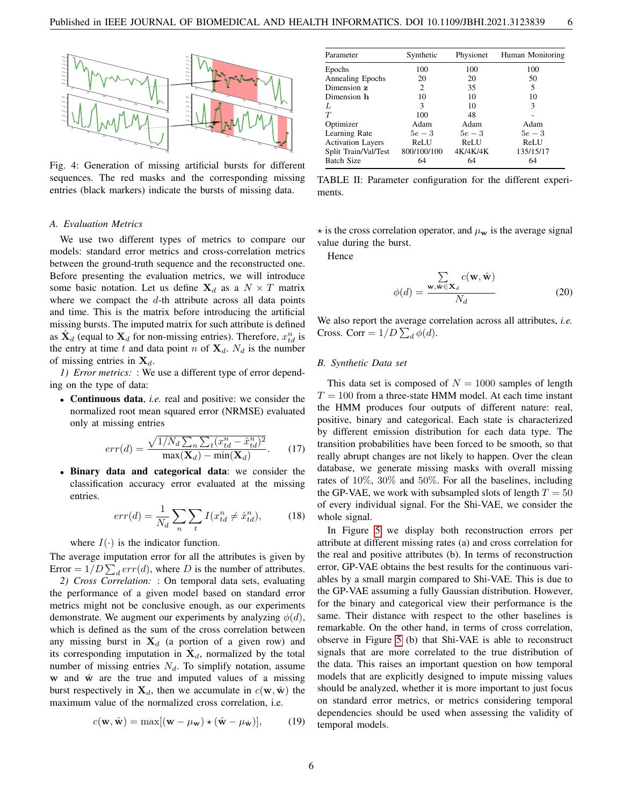<span id="page-5-0"></span>

Fig. 4: Generation of missing artificial bursts for different sequences. The red masks and the corresponding missing entries (black markers) indicate the bursts of missing data.

#### *A. Evaluation Metrics*

We use two different types of metrics to compare our models: standard error metrics and cross-correlation metrics between the ground-truth sequence and the reconstructed one. Before presenting the evaluation metrics, we will introduce some basic notation. Let us define  $X_d$  as a  $N \times T$  matrix where we compact the  $d$ -th attribute across all data points and time. This is the matrix before introducing the artificial missing bursts. The imputed matrix for such attribute is defined as  $\hat{\mathbf{X}}_d$  (equal to  $\mathbf{X}_d$  for non-missing entries). Therefore,  $x_{td}^n$  is the entry at time t and data point n of  $X_d$ .  $N_d$  is the number of missing entries in  $X_d$ .

*1) Error metrics:* : We use a different type of error depending on the type of data:

• Continuous data, *i.e.* real and positive: we consider the normalized root mean squared error (NRMSE) evaluated only at missing entries

$$
err(d) = \frac{\sqrt{1/N_d \sum_{n} \sum_{t} (x_{td}^n - \hat{x}_{td}^n)^2}}{\max(\mathbf{X}_d) - \min(\mathbf{X}_d)}.
$$
 (17)

• Binary data and categorical data: we consider the classification accuracy error evaluated at the missing entries.

$$
err(d) = \frac{1}{N_d} \sum_{n} \sum_{t} I(x_{td}^n \neq \hat{x}_{td}^n), \tag{18}
$$

where  $I(\cdot)$  is the indicator function.

The average imputation error for all the attributes is given by Error =  $1/D \sum_d err(d)$ , where D is the number of attributes.

*2) Cross Correlation:* : On temporal data sets, evaluating the performance of a given model based on standard error metrics might not be conclusive enough, as our experiments demonstrate. We augment our experiments by analyzing  $\phi(d)$ , which is defined as the sum of the cross correlation between any missing burst in  $X_d$  (a portion of a given row) and its corresponding imputation in  $\hat{\mathbf{X}}_d$ , normalized by the total number of missing entries  $N_d$ . To simplify notation, assume w and  $\hat{w}$  are the true and imputed values of a missing burst respectively in  $X_d$ , then we accumulate in  $c(\mathbf{w}, \hat{\mathbf{w}})$  the maximum value of the normalized cross correlation, i.e.

$$
c(\mathbf{w}, \hat{\mathbf{w}}) = \max[(\mathbf{w} - \mu_{\mathbf{w}}) \star (\hat{\mathbf{w}} - \mu_{\hat{\mathbf{w}}})],
$$
(19)

<span id="page-5-1"></span>

| Parameter                | Synthetic   | Physionet | Human Monitoring |
|--------------------------|-------------|-----------|------------------|
| Epochs                   | 100         | 100       | 100              |
| Annealing Epochs         | 20          | 20        | 50               |
| Dimension z              | 2           | 35        | 5                |
| Dimension h              | 10          | 10        | 10               |
| L                        | 3           | 10        | 3                |
| T                        | 100         | 48        |                  |
| Optimizer                | Adam        | Adam      | Adam             |
| Learning Rate            | $5e-3$      | $5e-3$    | $5e-3$           |
| <b>Activation Layers</b> | ReLU        | ReLU      | ReLU             |
| Split Train/Val/Test     | 800/100/100 | 4K/4K/4K  | 135/15/17        |
| <b>Batch Size</b>        | 64          | 64        | 64               |

TABLE II: Parameter configuration for the different experiments.

 $\star$  is the cross correlation operator, and  $\mu_{\bf w}$  is the average signal value during the burst.

Hence

$$
\phi(d) = \frac{\sum_{\mathbf{w}, \hat{\mathbf{w}} \in \mathbf{X}_d} c(\mathbf{w}, \hat{\mathbf{w}})}{N_d}
$$
(20)

We also report the average correlation across all attributes, *i.e.* Cross. Corr =  $1/D \sum_d \phi(d)$ .

#### *B. Synthetic Data set*

This data set is composed of  $N = 1000$  samples of length  $T = 100$  from a three-state HMM model. At each time instant the HMM produces four outputs of different nature: real, positive, binary and categorical. Each state is characterized by different emission distribution for each data type. The transition probabilities have been forced to be smooth, so that really abrupt changes are not likely to happen. Over the clean database, we generate missing masks with overall missing rates of 10%, 30% and 50%. For all the baselines, including the GP-VAE, we work with subsampled slots of length  $T = 50$ of every individual signal. For the Shi-VAE, we consider the whole signal.

In Figure [5](#page-6-0) we display both reconstruction errors per attribute at different missing rates (a) and cross correlation for the real and positive attributes (b). In terms of reconstruction error, GP-VAE obtains the best results for the continuous variables by a small margin compared to Shi-VAE. This is due to the GP-VAE assuming a fully Gaussian distribution. However, for the binary and categorical view their performance is the same. Their distance with respect to the other baselines is remarkable. On the other hand, in terms of cross correlation, observe in Figure [5](#page-6-0) (b) that Shi-VAE is able to reconstruct signals that are more correlated to the true distribution of the data. This raises an important question on how temporal models that are explicitly designed to impute missing values should be analyzed, whether it is more important to just focus on standard error metrics, or metrics considering temporal dependencies should be used when assessing the validity of temporal models.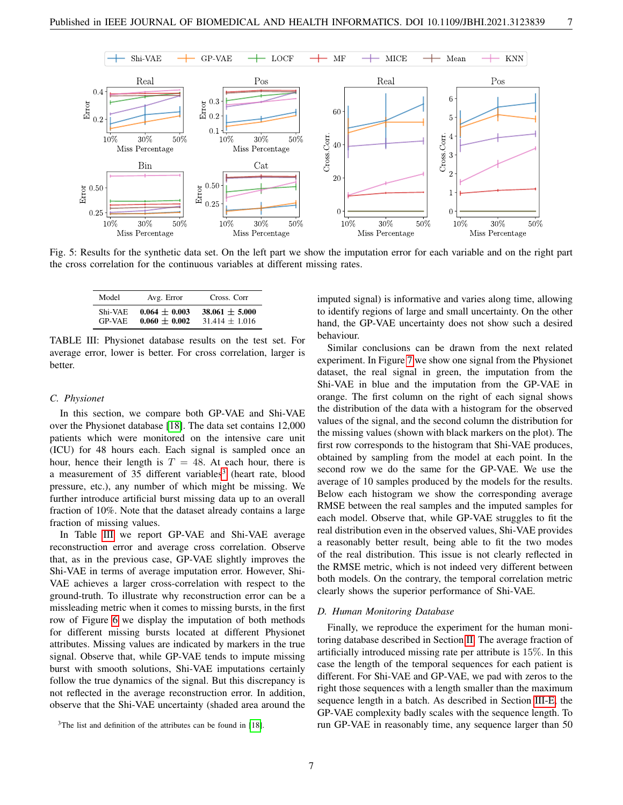<span id="page-6-0"></span>

<span id="page-6-2"></span>Fig. 5: Results for the synthetic data set. On the left part we show the imputation error for each variable and on the right part the cross correlation for the continuous variables at different missing rates.

| Model         | Avg. Error      | Cross. Corr        |
|---------------|-----------------|--------------------|
| Shi-VAE       | $0.064 + 0.003$ | $38.061 \pm 5.000$ |
| <b>GP-VAE</b> | $0.060 + 0.002$ | $31.414 \pm 1.016$ |

TABLE III: Physionet database results on the test set. For average error, lower is better. For cross correlation, larger is better.

#### *C. Physionet*

In this section, we compare both GP-VAE and Shi-VAE over the Physionet database [\[18\]](#page-8-17). The data set contains 12,000 patients which were monitored on the intensive care unit (ICU) for 48 hours each. Each signal is sampled once an hour, hence their length is  $T = 48$ . At each hour, there is a measurement of [3](#page-6-1)5 different variables<sup>3</sup> (heart rate, blood pressure, etc.), any number of which might be missing. We further introduce artificial burst missing data up to an overall fraction of 10%. Note that the dataset already contains a large fraction of missing values.

In Table [III](#page-6-2) we report GP-VAE and Shi-VAE average reconstruction error and average cross correlation. Observe that, as in the previous case, GP-VAE slightly improves the Shi-VAE in terms of average imputation error. However, Shi-VAE achieves a larger cross-correlation with respect to the ground-truth. To illustrate why reconstruction error can be a missleading metric when it comes to missing bursts, in the first row of Figure [6](#page-7-1) we display the imputation of both methods for different missing bursts located at different Physionet attributes. Missing values are indicated by markers in the true signal. Observe that, while GP-VAE tends to impute missing burst with smooth solutions, Shi-VAE imputations certainly follow the true dynamics of the signal. But this discrepancy is not reflected in the average reconstruction error. In addition, observe that the Shi-VAE uncertainty (shaded area around the imputed signal) is informative and varies along time, allowing to identify regions of large and small uncertainty. On the other hand, the GP-VAE uncertainty does not show such a desired behaviour.

Similar conclusions can be drawn from the next related experiment. In Figure [7](#page-7-2) we show one signal from the Physionet dataset, the real signal in green, the imputation from the Shi-VAE in blue and the imputation from the GP-VAE in orange. The first column on the right of each signal shows the distribution of the data with a histogram for the observed values of the signal, and the second column the distribution for the missing values (shown with black markers on the plot). The first row corresponds to the histogram that Shi-VAE produces, obtained by sampling from the model at each point. In the second row we do the same for the GP-VAE. We use the average of 10 samples produced by the models for the results. Below each histogram we show the corresponding average RMSE between the real samples and the imputed samples for each model. Observe that, while GP-VAE struggles to fit the real distribution even in the observed values, Shi-VAE provides a reasonably better result, being able to fit the two modes of the real distribution. This issue is not clearly reflected in the RMSE metric, which is not indeed very different between both models. On the contrary, the temporal correlation metric clearly shows the superior performance of Shi-VAE.

## *D. Human Monitoring Database*

Finally, we reproduce the experiment for the human monitoring database described in Section [II.](#page-1-1) The average fraction of artificially introduced missing rate per attribute is 15%. In this case the length of the temporal sequences for each patient is different. For Shi-VAE and GP-VAE, we pad with zeros to the right those sequences with a length smaller than the maximum sequence length in a batch. As described in Section [III-E,](#page-4-2) the GP-VAE complexity badly scales with the sequence length. To run GP-VAE in reasonably time, any sequence larger than 50

<span id="page-6-1"></span><sup>&</sup>lt;sup>3</sup>The list and definition of the attributes can be found in [\[18\]](#page-8-17).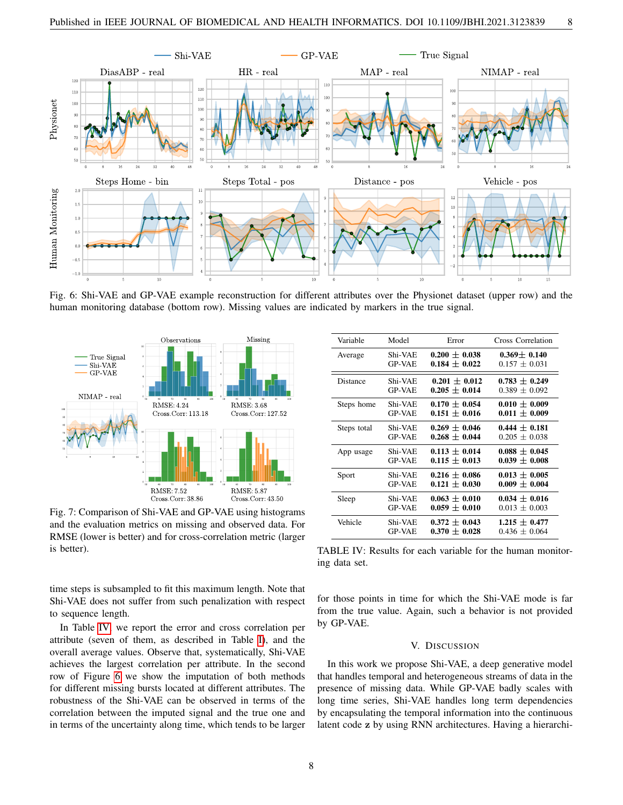<span id="page-7-1"></span>

Fig. 6: Shi-VAE and GP-VAE example reconstruction for different attributes over the Physionet dataset (upper row) and the human monitoring database (bottom row). Missing values are indicated by markers in the true signal.

<span id="page-7-2"></span>

Fig. 7: Comparison of Shi-VAE and GP-VAE using histograms and the evaluation metrics on missing and observed data. For RMSE (lower is better) and for cross-correlation metric (larger is better).

time steps is subsampled to fit this maximum length. Note that Shi-VAE does not suffer from such penalization with respect to sequence length.

In Table [IV,](#page-7-3) we report the error and cross correlation per attribute (seven of them, as described in Table [I\)](#page-1-3), and the overall average values. Observe that, systematically, Shi-VAE achieves the largest correlation per attribute. In the second row of Figure [6](#page-7-1) we show the imputation of both methods for different missing bursts located at different attributes. The robustness of the Shi-VAE can be observed in terms of the correlation between the imputed signal and the true one and in terms of the uncertainty along time, which tends to be larger

<span id="page-7-3"></span>

| Variable    | Model         | Error             | Cross Correlation |
|-------------|---------------|-------------------|-------------------|
| Average     | Shi-VAE       | $0.200 \pm 0.038$ | $0.369 \pm 0.140$ |
|             | <b>GP-VAE</b> | $0.184 \pm 0.022$ | $0.157 \pm 0.031$ |
| Distance    | Shi-VAE       | $0.201 \pm 0.012$ | $0.783 \pm 0.249$ |
|             | <b>GP-VAE</b> | $0.205 \pm 0.014$ | $0.389 \pm 0.092$ |
| Steps home  | Shi-VAE       | $0.170 \pm 0.054$ | $0.010 \pm 0.009$ |
|             | <b>GP-VAE</b> | $0.151 \pm 0.016$ | $0.011 \pm 0.009$ |
| Steps total | Shi-VAE       | $0.269 \pm 0.046$ | $0.444 \pm 0.181$ |
|             | <b>GP-VAE</b> | $0.268 \pm 0.044$ | $0.205 + 0.038$   |
| App usage   | Shi-VAE       | $0.113 \pm 0.014$ | $0.088 \pm 0.045$ |
|             | <b>GP-VAE</b> | $0.115 \pm 0.013$ | $0.039 \pm 0.008$ |
| Sport       | Shi-VAE       | $0.216 \pm 0.086$ | $0.013 \pm 0.005$ |
|             | <b>GP-VAE</b> | $0.121 \pm 0.030$ | $0.009 \pm 0.004$ |
| Sleep       | Shi-VAE       | $0.063 \pm 0.010$ | $0.034 \pm 0.016$ |
|             | <b>GP-VAE</b> | $0.059 + 0.010$   | $0.013 + 0.003$   |
| Vehicle     | Shi-VAE       | $0.372 \pm 0.043$ | $1.215 \pm 0.477$ |
|             | <b>GP-VAE</b> | $0.370 \pm 0.028$ | $0.436 \pm 0.064$ |

TABLE IV: Results for each variable for the human monitoring data set.

for those points in time for which the Shi-VAE mode is far from the true value. Again, such a behavior is not provided by GP-VAE.

#### V. DISCUSSION

<span id="page-7-0"></span>In this work we propose Shi-VAE, a deep generative model that handles temporal and heterogeneous streams of data in the presence of missing data. While GP-VAE badly scales with long time series, Shi-VAE handles long term dependencies by encapsulating the temporal information into the continuous latent code z by using RNN architectures. Having a hierarchi